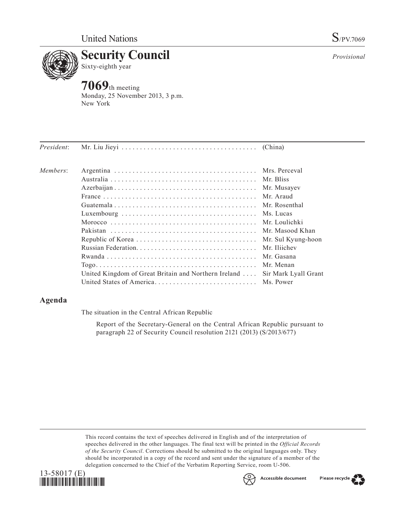

**7069**th meeting Monday, 25 November 2013, 3 p.m. New York

| President: |                                                      |                      |
|------------|------------------------------------------------------|----------------------|
| Members:   |                                                      |                      |
|            |                                                      | Mr. Bliss            |
|            |                                                      | Mr. Musayev          |
|            |                                                      | Mr. Araud            |
|            |                                                      | Mr. Rosenthal        |
|            |                                                      | Ms. Lucas            |
|            |                                                      |                      |
|            |                                                      |                      |
|            |                                                      | Mr. Sul Kyung-hoon   |
|            |                                                      | Mr. Iliichev         |
|            |                                                      | Mr. Gasana           |
|            |                                                      | Mr. Menan            |
|            | United Kingdom of Great Britain and Northern Ireland | Sir Mark Lyall Grant |
|            |                                                      | Ms. Power            |
|            |                                                      |                      |

## **Agenda**

The situation in the Central African Republic

Report of the Secretary-General on the Central African Republic pursuant to paragraph 22 of Security Council resolution 2121 (2013) (S/2013/677)

This record contains the text of speeches delivered in English and of the interpretation of speeches delivered in the other languages. The final text will be printed in the *Official Records of the Security Council*. Corrections should be submitted to the original languages only. They should be incorporated in a copy of the record and sent under the signature of a member of the delegation concerned to the Chief of the Verbatim Reporting Service, room U-506.





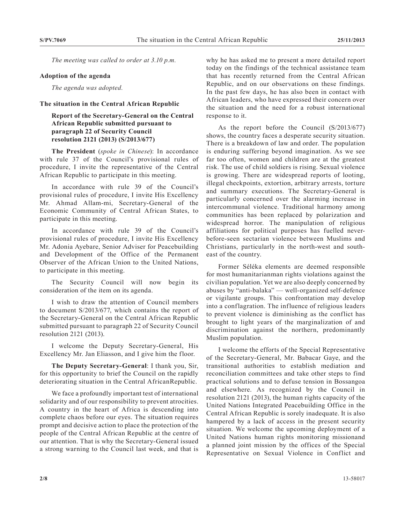*The meeting was called to order at 3.10 p.m.*

## **Adoption of the agenda**

*The agenda was adopted.*

## **The situation in the Central African Republic**

**Report of the Secretary-General on the Central African Republic submitted pursuant to paragraph 22 of Security Council resolution 2121 (2013) (S/2013/677)**

**The President** (*spoke in Chinese*): In accordance with rule 37 of the Council's provisional rules of procedure, I invite the representative of the Central African Republic to participate in this meeting.

In accordance with rule 39 of the Council's provisional rules of procedure, I invite His Excellency Mr. Ahmad Allam-mi, Secretary-General of the Economic Community of Central African States, to participate in this meeting.

In accordance with rule 39 of the Council's provisional rules of procedure, I invite His Excellency Mr. Adonia Ayebare, Senior Adviser for Peacebuilding and Development of the Office of the Permanent Observer of the African Union to the United Nations, to participate in this meeting.

The Security Council will now begin its consideration of the item on its agenda.

I wish to draw the attention of Council members to document S/2013/677, which contains the report of the Secretary-General on the Central African Republic submitted pursuant to paragraph 22 of Security Council resolution 2121 (2013).

I welcome the Deputy Secretary-General, His Excellency Mr. Jan Eliasson, and I give him the floor.

**The Deputy Secretary-General**: I thank you, Sir, for this opportunity to brief the Council on the rapidly deteriorating situation in the Central AfricanRepublic.

We face a profoundly important test of international solidarity and of our responsibility to prevent atrocities. A country in the heart of Africa is descending into complete chaos before our eyes. The situation requires prompt and decisive action to place the protection of the people of the Central African Republic at the centre of our attention. That is why the Secretary-General issued a strong warning to the Council last week, and that is

why he has asked me to present a more detailed report today on the findings of the technical assistance team that has recently returned from the Central African Republic, and on our observations on these findings. In the past few days, he has also been in contact with African leaders, who have expressed their concern over the situation and the need for a robust international response to it.

As the report before the Council (S/2013/677) shows, the country faces a desperate security situation. There is a breakdown of law and order. The population is enduring suffering beyond imagination. As we see far too often, women and children are at the greatest risk. The use of child soldiers is rising. Sexual violence is growing. There are widespread reports of looting, illegal checkpoints, extortion, arbitrary arrests, torture and summary executions. The Secretary-General is particularly concerned over the alarming increase in intercommunal violence. Traditional harmony among communities has been replaced by polarization and widespread horror. The manipulation of religious affiliations for political purposes has fuelled neverbefore-seen sectarian violence between Muslims and Christians, particularly in the north-west and southeast of the country.

Former Séléka elements are deemed responsible for most humanitarianman rights violations against the civilian population. Yet we are also deeply concerned by abuses by "anti-balaka" — well-organized self-defence or vigilante groups. This confrontation may develop into a conflagration. The influence of religious leaders to prevent violence is diminishing as the conflict has brought to light years of the marginalization of and discrimination against the northern, predominantly Muslim population.

I welcome the efforts of the Special Representative of the Secretary-General, Mr. Babacar Gaye, and the transitional authorities to establish mediation and reconciliation committees and take other steps to find practical solutions and to defuse tension in Bossangoa and elsewhere. As recognized by the Council in resolution 2121 (2013), the human rights capacity of the United Nations Integrated Peacebuilding Office in the Central African Republic is sorely inadequate. It is also hampered by a lack of access in the present security situation. We welcome the upcoming deployment of a United Nations human rights monitoring missionand a planned joint mission by the offices of the Special Representative on Sexual Violence in Conflict and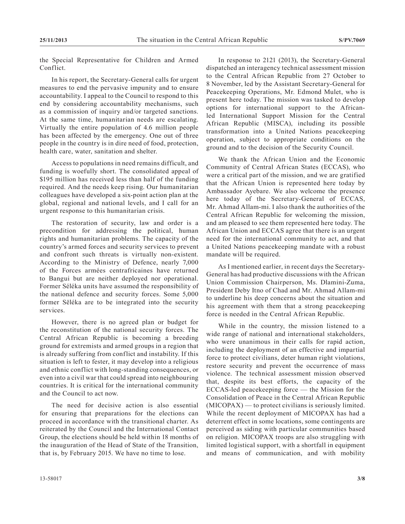the Special Representative for Children and Armed Conflict.

In his report, the Secretary-General calls for urgent measures to end the pervasive impunity and to ensure accountability. I appeal to the Council to respond to this end by considering accountability mechanisms, such as a commission of inquiry and/or targeted sanctions. At the same time, humanitarian needs are escalating. Virtually the entire population of 4.6 million people has been affected by the emergency. One out of three people in the country is in dire need of food, protection, health care, water, sanitation and shelter.

Access to populations in need remains difficult, and funding is woefully short. The consolidated appeal of \$195 million has received less than half of the funding required. And the needs keep rising. Our humanitarian colleagues have developed a six-point action plan at the global, regional and national levels, and I call for an urgent response to this humanitarian crisis.

The restoration of security, law and order is a precondition for addressing the political, human rights and humanitarian problems. The capacity of the country's armed forces and security services to prevent and confront such threats is virtually non-existent. According to the Ministry of Defence, nearly 7,000 of the Forces armées centrafricaines have returned to Bangui but are neither deployed nor operational. Former Séléka units have assumed the responsibility of the national defence and security forces. Some 5,000 former Sëléka are to be integrated into the security services.

However, there is no agreed plan or budget for the reconstitution of the national security forces. The Central African Republic is becoming a breeding ground for extremists and armed groups in a region that is already suffering from conflict and instability. If this situation is left to fester, it may develop into a religious and ethnic conflict with long-standing consequences, or even into a civil war that could spread into neighbouring countries. It is critical for the international community and the Council to act now.

The need for decisive action is also essential for ensuring that preparations for the elections can proceed in accordance with the transitional charter. As reiterated by the Council and the International Contact Group, the elections should be held within 18 months of the inauguration of the Head of State of the Transition, that is, by February 2015. We have no time to lose.

In response to 2121 (2013), the Secretary-General dispatched an interagency technical assessment mission to the Central African Republic from 27 October to 8 November, led by the Assistant Secretary-General for Peacekeeping Operations, Mr. Edmond Mulet, who is present here today. The mission was tasked to develop options for international support to the Africanled International Support Mission for the Central African Republic (MISCA), including its possible transformation into a United Nations peacekeeping operation, subject to appropriate conditions on the ground and to the decision of the Security Council.

We thank the African Union and the Economic Community of Central African States (ECCAS), who were a critical part of the mission, and we are gratified that the African Union is represented here today by Ambassador Ayebare. We also welcome the presence here today of the Secretary-General of ECCAS, Mr. Ahmad Allam-mi. I also thank the authorities of the Central African Republic for welcoming the mission, and am pleased to see them represented here today. The African Union and ECCAS agree that there is an urgent need for the international community to act, and that a United Nations peacekeeping mandate with a robust mandate will be required.

As I mentioned earlier, in recent days the Secretary-General has had productive discussions with the African Union Commission Chairperson, Ms. Dlamini-Zuma, President Deby Itno of Chad and Mr. Ahmad Allam-mi to underline his deep concerns about the situation and his agreement with them that a strong peacekeeping force is needed in the Central African Republic.

While in the country, the mission listened to a wide range of national and international stakeholders, who were unanimous in their calls for rapid action, including the deployment of an effective and impartial force to protect civilians, deter human right violations, restore security and prevent the occurrence of mass violence. The technical assessment mission observed that, despite its best efforts, the capacity of the ECCAS-led peacekeeping force — the Mission for the Consolidation of Peace in the Central African Republic  $(MICOPAX)$  — to protect civilians is seriously limited. While the recent deployment of MICOPAX has had a deterrent effect in some locations, some contingents are perceived as siding with particular communities based on religion. MICOPAX troops are also struggling with limited logistical support, with a shortfall in equipment and means of communication, and with mobility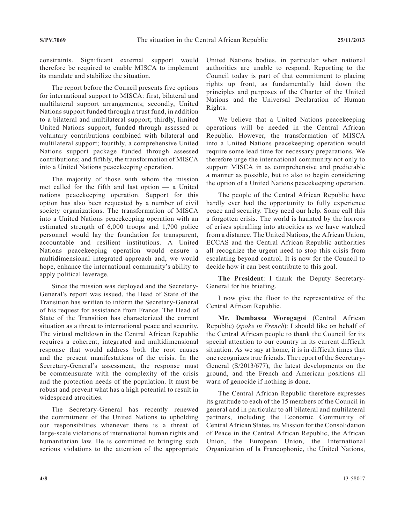constraints. Significant external support would therefore be required to enable MISCA to implement its mandate and stabilize the situation.

The report before the Council presents five options for international support to MISCA: first, bilateral and multilateral support arrangements; secondly, United Nations support funded through a trust fund, in addition to a bilateral and multilateral support; thirdly, limited United Nations support, funded through assessed or voluntary contributions combined with bilateral and multilateral support; fourthly, a comprehensive United Nations support package funded through assessed contributions; and fifthly, the transformation of MISCA into a United Nations peacekeeping operation.

The majority of those with whom the mission met called for the fifth and last option — a United nations peacekeeping operation. Support for this option has also been requested by a number of civil society organizations. The transformation of MISCA into a United Nations peacekeeping operation with an estimated strength of 6,000 troops and 1,700 police personnel would lay the foundation for transparent, accountable and resilient institutions. A United Nations peacekeeping operation would ensure a multidimensional integrated approach and, we would hope, enhance the international community's ability to apply political leverage.

Since the mission was deployed and the Secretary-General's report was issued, the Head of State of the Transition has written to inform the Secretary-General of his request for assistance from France. The Head of State of the Transition has characterized the current situation as a threat to international peace and security. The virtual meltdown in the Central African Republic requires a coherent, integrated and multidimensional response that would address both the root causes and the present manifestations of the crisis. In the Secretary-General's assessment, the response must be commensurate with the complexity of the crisis and the protection needs of the population. It must be robust and prevent what has a high potential to result in widespread atrocities.

The Secretary-General has recently renewed the commitment of the United Nations to upholding our responsibilties whenever there is a threat of large-scale violations of international human rights and humanitarian law. He is committed to bringing such serious violations to the attention of the appropriate

United Nations bodies, in particular when national authorities are unable to respond. Reporting to the Council today is part of that commitment to placing rights up front, as fundamentally laid down the principles and purposes of the Charter of the United Nations and the Universal Declaration of Human Rights.

We believe that a United Nations peacekeeping operations will be needed in the Central African Republic. However, the transformation of MISCA into a United Nations peacekeeping operation would require some lead time for necessary preparations. We therefore urge the international community not only to support MISCA in as comprehensive and predictable a manner as possible, but to also to begin considering the option of a United Nations peacekeeping operation.

The people of the Central African Republic have hardly ever had the opportunity to fully experience peace and security. They need our help. Some call this a forgotten crisis. The world is haunted by the horrors of crises spiralling into atrocities as we have watched from a distance. The United Nations, the African Union, ECCAS and the Central African Republic authorities all recognize the urgent need to stop this crisis from escalating beyond control. It is now for the Council to decide how it can best contribute to this goal.

**The President**: I thank the Deputy Secretary-General for his briefing.

I now give the floor to the representative of the Central African Republic.

**Mr. Dembassa Worogagoi** (Central African Republic) (*spoke in French*): I should like on behalf of the Central African people to thank the Council for its special attention to our country in its current difficult situation. As we say at home, it is in difficult times that one recognizes true friends. The report of the Secretary-General (S/2013/677), the latest developments on the ground, and the French and American positions all warn of genocide if nothing is done.

The Central African Republic therefore expresses its gratitude to each of the 15 members of the Council in general and in particular to all bilateral and multilateral partners, including the Economic Community of Central African States, its Mission for the Consolidation of Peace in the Central African Republic, the African Union, the European Union, the International Organization of la Francophonie, the United Nations,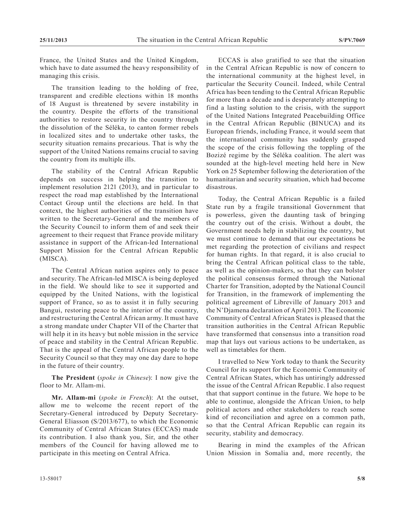France, the United States and the United Kingdom, which have to date assumed the heavy responsibility of managing this crisis.

The transition leading to the holding of free, transparent and credible elections within 18 months of 18 August is threatened by severe instability in the country. Despite the efforts of the transitional authorities to restore security in the country through the dissolution of the Séléka, to canton former rebels in localized sites and to undertake other tasks, the security situation remains precarious. That is why the support of the United Nations remains crucial to saving the country from its multiple ills.

The stability of the Central African Republic depends on success in helping the transition to implement resolution 2121 (2013), and in particular to respect the road map established by the International Contact Group until the elections are held. In that context, the highest authorities of the transition have written to the Secretary-General and the members of the Security Council to inform them of and seek their agreement to their request that France provide military assistance in support of the African-led International Support Mission for the Central African Republic (MISCA).

The Central African nation aspires only to peace and security. The African-led MISCA is being deployed in the field. We should like to see it supported and equipped by the United Nations, with the logistical support of France, so as to assist it in fully securing Bangui, restoring peace to the interior of the country, and restructuring the Central African army. It must have a strong mandate under Chapter VII of the Charter that will help it in its heavy but noble mission in the service of peace and stability in the Central African Republic. That is the appeal of the Central African people to the Security Council so that they may one day dare to hope in the future of their country.

**The President** (*spoke in Chinese*): I now give the floor to Mr. Allam-mi.

**Mr. Allam-mi** (*spoke in French*): At the outset, allow me to welcome the recent report of the Secretary-General introduced by Deputy Secretary-General Eliasson (S/2013/677), to which the Economic Community of Central African States (ECCAS) made its contribution. I also thank you, Sir, and the other members of the Council for having allowed me to participate in this meeting on Central Africa.

ECCAS is also gratified to see that the situation in the Central African Republic is now of concern to the international community at the highest level, in particular the Security Council. Indeed, while Central Africa has been tending to the Central African Republic for more than a decade and is desperately attempting to find a lasting solution to the crisis, with the support of the United Nations Integrated Peacebuilding Office in the Central African Republic (BINUCA) and its European friends, including France, it would seem that the international community has suddenly grasped the scope of the crisis following the toppling of the Bozizé regime by the Séléka coalition. The alert was sounded at the high-level meeting held here in New York on 25 September following the deterioration of the humanitarian and security situation, which had become disastrous.

Today, the Central African Republic is a failed State run by a fragile transitional Government that is powerless, given the daunting task of bringing the country out of the crisis. Without a doubt, the Government needs help in stabilizing the country, but we must continue to demand that our expectations be met regarding the protection of civilians and respect for human rights. In that regard, it is also crucial to bring the Central African political class to the table, as well as the opinion-makers, so that they can bolster the political consensus formed through the National Charter for Transition, adopted by the National Council for Transition, in the framework of implementing the political agreement of Libreville of January 2013 and the N'Djamena declaration of April 2013. The Economic Community of Central African States is pleased that the transition authorities in the Central African Republic have transformed that consensus into a transition road map that lays out various actions to be undertaken, as well as timetables for them.

I travelled to New York today to thank the Security Council for its support for the Economic Community of Central African States, which has untiringly addressed the issue of the Central African Republic. I also request that that support continue in the future. We hope to be able to continue, alongside the African Union, to help political actors and other stakeholders to reach some kind of reconciliation and agree on a common path, so that the Central African Republic can regain its security, stability and democracy.

Bearing in mind the examples of the African Union Mission in Somalia and, more recently, the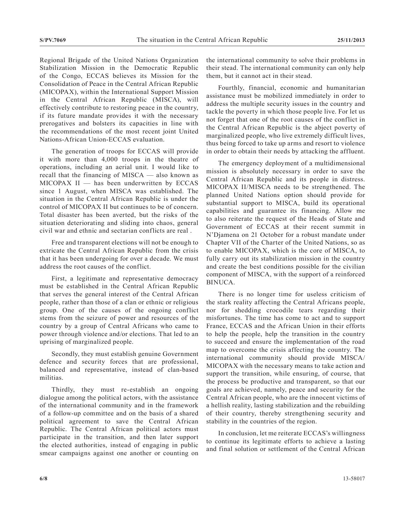Regional Brigade of the United Nations Organization Stabilization Mission in the Democratic Republic of the Congo, ECCAS believes its Mission for the Consolidation of Peace in the Central African Republic (MICOPAX), within the International Support Mission in the Central African Republic (MISCA), will effectively contribute to restoring peace in the country, if its future mandate provides it with the necessary prerogatives and bolsters its capacities in line with the recommendations of the most recent joint United Nations-African Union-ECCAS evaluation.

The generation of troops for ECCAS will provide it with more than 4,000 troops in the theatre of operations, including an aerial unit. I would like to recall that the financing of MISCA — also known as  $MICOPAX II$  — has been underwritten by ECCAS since 1 August, when MISCA was established. The situation in the Central African Republic is under the control of MICOPAX II but continues to be of concern. Total disaster has been averted, but the risks of the situation deteriorating and sliding into chaos, general civil war and ethnic and sectarian conflicts are real .

Free and transparent elections will not be enough to extricate the Central African Republic from the crisis that it has been undergoing for over a decade. We must address the root causes of the conflict.

First, a legitimate and representative democracy must be established in the Central African Republic that serves the general interest of the Central African people, rather than those of a clan or ethnic or religious group. One of the causes of the ongoing conflict stems from the seizure of power and resources of the country by a group of Central Africans who came to power through violence and/or elections. That led to an uprising of marginalized people.

Secondly, they must establish genuine Government defence and security forces that are professional, balanced and representative, instead of clan-based militias.

Thirdly, they must re-establish an ongoing dialogue among the political actors, with the assistance of the international community and in the framework of a follow-up committee and on the basis of a shared political agreement to save the Central African Republic. The Central African political actors must participate in the transition, and then later support the elected authorities, instead of engaging in public smear campaigns against one another or counting on

the international community to solve their problems in their stead. The international community can only help them, but it cannot act in their stead.

Fourthly, financial, economic and humanitarian assistance must be mobilized immediately in order to address the multiple security issues in the country and tackle the poverty in which those people live. For let us not forget that one of the root causes of the conflict in the Central African Republic is the abject poverty of marginalized people, who live extremely difficult lives, thus being forced to take up arms and resort to violence in order to obtain their needs by attacking the affluent.

The emergency deployment of a multidimensional mission is absolutely necessary in order to save the Central African Republic and its people in distress. MICOPAX II/MISCA needs to be strengthened. The planned United Nations option should provide for substantial support to MISCA, build its operational capabilities and guarantee its financing. Allow me to also reiterate the request of the Heads of State and Government of ECCAS at their recent summit in N'Djamena on 21 October for a robust mandate under Chapter VII of the Charter of the United Nations, so as to enable MICOPAX, which is the core of MISCA, to fully carry out its stabilization mission in the country and create the best conditions possible for the civilian component of MISCA, with the support of a reinforced BINUCA.

There is no longer time for useless criticism of the stark reality affecting the Central Africans people, nor for shedding crocodile tears regarding their misfortunes. The time has come to act and to support France, ECCAS and the African Union in their efforts to help the people, help the transition in the country to succeed and ensure the implementation of the road map to overcome the crisis affecting the country. The international community should provide MISCA/ MICOPAX with the necessary means to take action and support the transition, while ensuring, of course, that the process be productive and transparent, so that our goals are achieved, namely, peace and security for the Central African people, who are the innocent victims of a hellish reality, lasting stabilization and the rebuilding of their country, thereby strengthening security and stability in the countries of the region.

In conclusion, let me reiterate ECCAS's willingness to continue its legitimate efforts to achieve a lasting and final solution or settlement of the Central African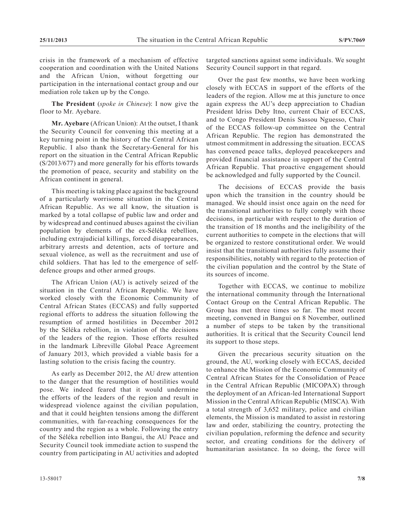crisis in the framework of a mechanism of effective cooperation and coordination with the United Nations and the African Union, without forgetting our participation in the international contact group and our mediation role taken up by the Congo.

**The President** (*spoke in Chinese*): I now give the floor to Mr. Ayebare.

**Mr. Ayebare** (African Union): At the outset, I thank the Security Council for convening this meeting at a key turning point in the history of the Central African Republic. I also thank the Secretary-General for his report on the situation in the Central African Republic (S/2013/677) and more generally for his efforts towards the promotion of peace, security and stability on the African continent in general.

This meeting is taking place against the background of a particularly worrisome situation in the Central African Republic. As we all know, the situation is marked by a total collapse of public law and order and by widespread and continued abuses against the civilian population by elements of the ex-Séléka rebellion, including extrajudicial killings, forced disappearances, arbitrary arrests and detention, acts of torture and sexual violence, as well as the recruitment and use of child soldiers. That has led to the emergence of selfdefence groups and other armed groups.

The African Union (AU) is actively seized of the situation in the Central African Republic. We have worked closely with the Economic Community of Central African States (ECCAS) and fully supported regional efforts to address the situation following the resumption of armed hostilities in December 2012 by the Séléka rebellion, in violation of the decisions of the leaders of the region. Those efforts resulted in the landmark Libreville Global Peace Agreement of January 2013, which provided a viable basis for a lasting solution to the crisis facing the country.

As early as December 2012, the AU drew attention to the danger that the resumption of hostilities would pose. We indeed feared that it would undermine the efforts of the leaders of the region and result in widespread violence against the civilian population, and that it could heighten tensions among the different communities, with far-reaching consequences for the country and the region as a whole. Following the entry of the Séléka rebellion into Bangui, the AU Peace and Security Council took immediate action to suspend the country from participating in AU activities and adopted

targeted sanctions against some individuals. We sought Security Council support in that regard.

Over the past few months, we have been working closely with ECCAS in support of the efforts of the leaders of the region. Allow me at this juncture to once again express the AU's deep appreciation to Chadian President ldriss Deby Itno, current Chair of ECCAS, and to Congo President Denis Sassou Nguesso, Chair of the ECCAS follow-up committee on the Central African Republic. The region has demonstrated the utmost commitment in addressing the situation. ECCAS has convened peace talks, deployed peacekeepers and provided financial assistance in support of the Central African Republic. That proactive engagement should be acknowledged and fully supported by the Council.

The decisions of ECCAS provide the basis upon which the transition in the country should be managed. We should insist once again on the need for the transitional authorities to fully comply with those decisions, in particular with respect to the duration of the transition of 18 months and the ineligibility of the current authorities to compete in the elections that will be organized to restore constitutional order. We would insist that the transitional authorities fully assume their responsibilities, notably with regard to the protection of the civilian population and the control by the State of its sources of income.

Together with ECCAS, we continue to mobilize the international community through the International Contact Group on the Central African Republic. The Group has met three times so far. The most recent meeting, convened in Bangui on 8 November, outlined a number of steps to be taken by the transitional authorities. It is critical that the Security Council lend its support to those steps.

Given the precarious security situation on the ground, the AU, working closely with ECCAS, decided to enhance the Mission of the Economic Community of Central African States for the Consolidation of Peace in the Central African Republic (MICOPAX) through the deployment of an African-led International Support Mission in the Central African Republic (MISCA). With a total strength of 3,652 military, police and civilian elements, the Mission is mandated to assist in restoring law and order, stabilizing the country, protecting the civilian population, reforming the defence and security sector, and creating conditions for the delivery of humanitarian assistance. In so doing, the force will